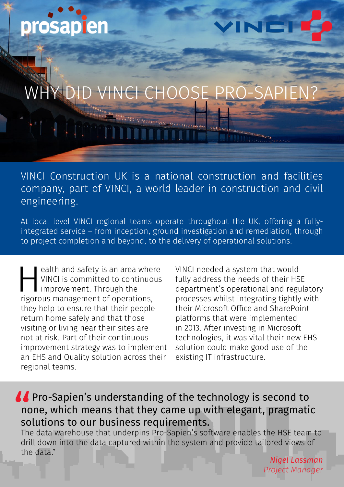

# D VINCI CHOOSE

VINCI Construction UK is a national construction and facilities company, part of VINCI, a world leader in construction and civil engineering.

At local level VINCI regional teams operate throughout the UK, offering a fullyintegrated service – from inception, ground investigation and remediation, through to project completion and beyond, to the delivery of operational solutions.

ealth and safety is an area where<br>
VINCI is committed to continuous<br>
improvement. Through the<br>
rigorous management of operations, VINCI is committed to continuous improvement. Through the they help to ensure that their people return home safely and that those visiting or living near their sites are not at risk. Part of their continuous improvement strategy was to implement an EHS and Quality solution across their regional teams.

VINCI needed a system that would fully address the needs of their HSE department's operational and regulatory processes whilst integrating tightly with their Microsoft Office and SharePoint platforms that were implemented in 2013. After investing in Microsoft technologies, it was vital their new EHS solution could make good use of the existing IT infrastructure.

#### **A** Pro-Sapien's understanding of the technology is second to none, which means that they came up with elegant, pragmatic solutions to our business requirements. to the sound of the sound of the sound of the sound of the sound of the sound of the sound of the sound of the sound  $\frac{1}{2}$  such the sound of the sound of the sound of the sound of the sound of the sound of the sound of

The data warehouse that underpins Pro-Sapien's software enables the HSE team to drill down into the data captured within the system and provide tailored views of the data."

*Nigel Lassman Project Manager*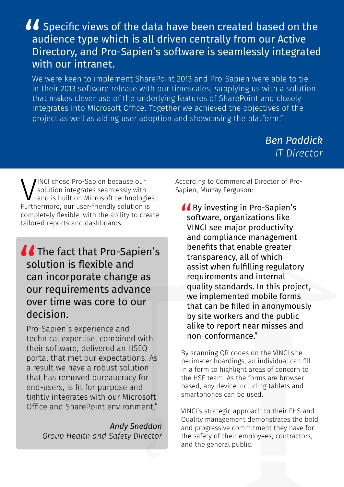## So Specific views of the data have been created based on the<br>audience type which is all driven centrally from our Active<br>Directory, and Pro-Sapien's software is seamlessly integrated<br>with our intranet audience type which is all driven centrally from our Active Directory, and Pro-Sapien's software is seamlessly integrated with our intranet.

We were keen to implement SharePoint 2013 and Pro-Sapien were able to tie in their 2013 software release with our timescales, supplying us with a solution that makes clever use of the underlying features of SharePoint and closely integrates into Microsoft Office. Together we achieved the objectives of the project as well as aiding user adoption and showcasing the platform."

> *Ben Paddick IT Director*

WINCI chose Pro-Sapien because our<br>solution integrates seamlessly with<br>Furthermore, our user-friendly solution is solution integrates seamlessly with and is built on Microsoft technologies. completely flexible, with the ability to create tailored reports and dashboards.

### **The fact that Pro-Sapien's<br>
solution is flexible and<br>
can incorporate change as<br>
our requirements advance** solution is flexible and can incorporate change as our requirements advance over time was core to our decision.

Pro-Sapien's experience and technical expertise, combined with their software, delivered an HSEQ portal that met our expectations. As a result we have a robust solution that has removed bureaucracy for end-users, is fit for purpose and tightly integrates with our Microsoft Office and SharePoint environment."

> *Andy Sneddon Group Health and Safety Director*

According to Commercial Director of Pro-Sapien, Murray Ferguson:

**66** By investing in Pro-Sapien's<br>software, organizations like<br>VINCI see major productivity software, organizations like VINCI see major productivity and compliance management benefits that enable greater transparency, all of which assist when fulfilling regulatory requirements and internal quality standards. In this project, we implemented mobile forms that can be filled in anonymously by site workers and the public alike to report near misses and non-conformance."

By scanning QR codes on the VINCI site perimeter hoardings, an individual can fill in a form to highlight areas of concern to the HSE team. As the forms are browser based, any device including tablets and smartphones can be used.

VINCI's strategic approach to their EHS and Quality management demonstrates the bold and progressive commitment they have for the safety of their employees, contractors, and the general public.